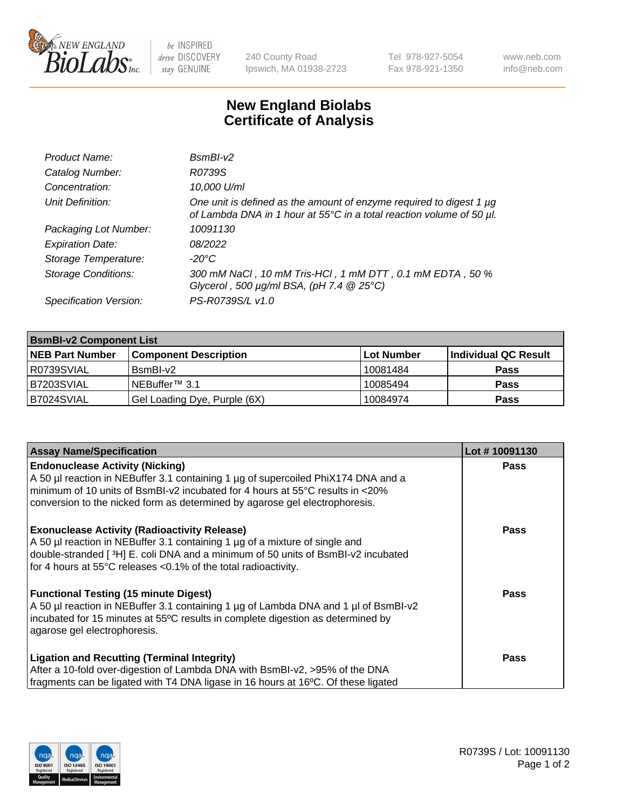

 $be$  INSPIRED drive DISCOVERY stay GENUINE

240 County Road Ipswich, MA 01938-2723 Tel 978-927-5054 Fax 978-921-1350 www.neb.com info@neb.com

## **New England Biolabs Certificate of Analysis**

| Product Name:              | $BsmBI-v2$                                                                                                                                  |
|----------------------------|---------------------------------------------------------------------------------------------------------------------------------------------|
| Catalog Number:            | R0739S                                                                                                                                      |
| Concentration:             | 10,000 U/ml                                                                                                                                 |
| Unit Definition:           | One unit is defined as the amount of enzyme required to digest 1 µg<br>of Lambda DNA in 1 hour at 55°C in a total reaction volume of 50 µl. |
| Packaging Lot Number:      | 10091130                                                                                                                                    |
| <b>Expiration Date:</b>    | 08/2022                                                                                                                                     |
| Storage Temperature:       | $-20^{\circ}$ C                                                                                                                             |
| <b>Storage Conditions:</b> | 300 mM NaCl, 10 mM Tris-HCl, 1 mM DTT, 0.1 mM EDTA, 50 %<br>Glycerol, 500 $\mu$ g/ml BSA, (pH 7.4 $@25°C$ )                                 |
| Specification Version:     | PS-R0739S/L v1.0                                                                                                                            |

| <b>BsmBI-v2 Component List</b> |                              |            |                      |  |  |
|--------------------------------|------------------------------|------------|----------------------|--|--|
| <b>NEB Part Number</b>         | <b>Component Description</b> | Lot Number | Individual QC Result |  |  |
| I R0739SVIAL                   | BsmBI-v2                     | 10081484   | <b>Pass</b>          |  |  |
| B7203SVIAL                     | INEBuffer™ 3.1               | 10085494   | <b>Pass</b>          |  |  |
| B7024SVIAL                     | Gel Loading Dye, Purple (6X) | 10084974   | <b>Pass</b>          |  |  |

| <b>Assay Name/Specification</b>                                                      | Lot #10091130 |
|--------------------------------------------------------------------------------------|---------------|
| <b>Endonuclease Activity (Nicking)</b>                                               | <b>Pass</b>   |
| A 50 µl reaction in NEBuffer 3.1 containing 1 µg of supercoiled PhiX174 DNA and a    |               |
| $\mid$ minimum of 10 units of BsmBI-v2 incubated for 4 hours at 55°C results in <20% |               |
| conversion to the nicked form as determined by agarose gel electrophoresis.          |               |
| <b>Exonuclease Activity (Radioactivity Release)</b>                                  | <b>Pass</b>   |
| A 50 µl reaction in NEBuffer 3.1 containing 1 µg of a mixture of single and          |               |
| double-stranded [3H] E. coli DNA and a minimum of 50 units of BsmBI-v2 incubated     |               |
| for 4 hours at 55°C releases <0.1% of the total radioactivity.                       |               |
| <b>Functional Testing (15 minute Digest)</b>                                         | Pass          |
| A 50 µl reaction in NEBuffer 3.1 containing 1 µg of Lambda DNA and 1 µl of BsmBI-v2  |               |
| incubated for 15 minutes at 55°C results in complete digestion as determined by      |               |
| agarose gel electrophoresis.                                                         |               |
| <b>Ligation and Recutting (Terminal Integrity)</b>                                   | <b>Pass</b>   |
| After a 10-fold over-digestion of Lambda DNA with BsmBI-v2, >95% of the DNA          |               |
| fragments can be ligated with T4 DNA ligase in 16 hours at 16°C. Of these ligated    |               |